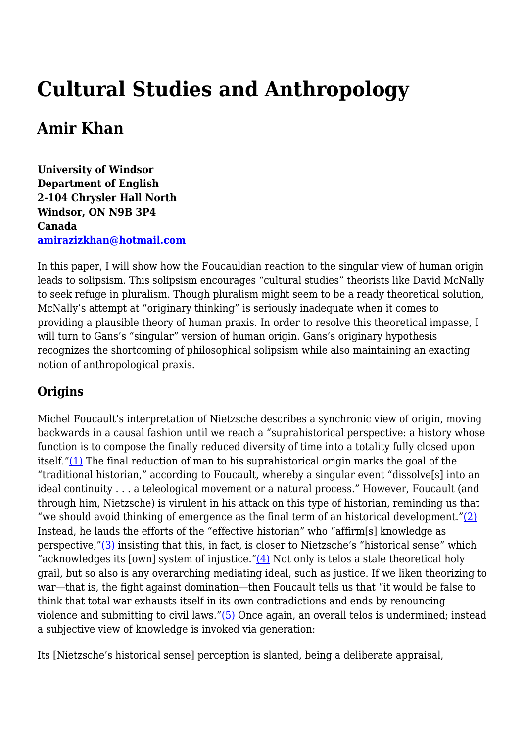# **Cultural Studies and Anthropology**

# **Amir Khan**

**University of Windsor Department of English 2-104 Chrysler Hall North Windsor, ON N9B 3P4 Canada [amirazizkhan@hotmail.com](mailto:amirazizkhan@hotmail.com)**

In this paper, I will show how the Foucauldian reaction to the singular view of human origin leads to solipsism. This solipsism encourages "cultural studies" theorists like David McNally to seek refuge in pluralism. Though pluralism might seem to be a ready theoretical solution, McNally's attempt at "originary thinking" is seriously inadequate when it comes to providing a plausible theory of human praxis. In order to resolve this theoretical impasse, I will turn to Gans's "singular" version of human origin. Gans's originary hypothesis recognizes the shortcoming of philosophical solipsism while also maintaining an exacting notion of anthropological praxis.

# **Origins**

Michel Foucault's interpretation of Nietzsche describes a synchronic view of origin, moving backwards in a causal fashion until we reach a "suprahistorical perspective: a history whose function is to compose the finally reduced diversity of time into a totality fully closed upon itself."[\(1\)](http://anthropoetics.ucla.edu/ap1201/khan#n1) The final reduction of man to his suprahistorical origin marks the goal of the "traditional historian," according to Foucault, whereby a singular event "dissolve[s] into an ideal continuity . . . a teleological movement or a natural process." However, Foucault (and through him, Nietzsche) is virulent in his attack on this type of historian, reminding us that "we should avoid thinking of emergence as the final term of an historical development." $(2)$ Instead, he lauds the efforts of the "effective historian" who "affirm[s] knowledge as perspective,["\(3\)](http://anthropoetics.ucla.edu/ap1201/khan#n3) insisting that this, in fact, is closer to Nietzsche's "historical sense" which "acknowledges its [own] system of injustice." $(4)$  Not only is telos a stale theoretical holy grail, but so also is any overarching mediating ideal, such as justice. If we liken theorizing to war—that is, the fight against domination—then Foucault tells us that "it would be false to think that total war exhausts itself in its own contradictions and ends by renouncing violence and submitting to civil laws.["\(5\)](http://anthropoetics.ucla.edu/ap1201/khan#n5) Once again, an overall telos is undermined; instead a subjective view of knowledge is invoked via generation:

Its [Nietzsche's historical sense] perception is slanted, being a deliberate appraisal,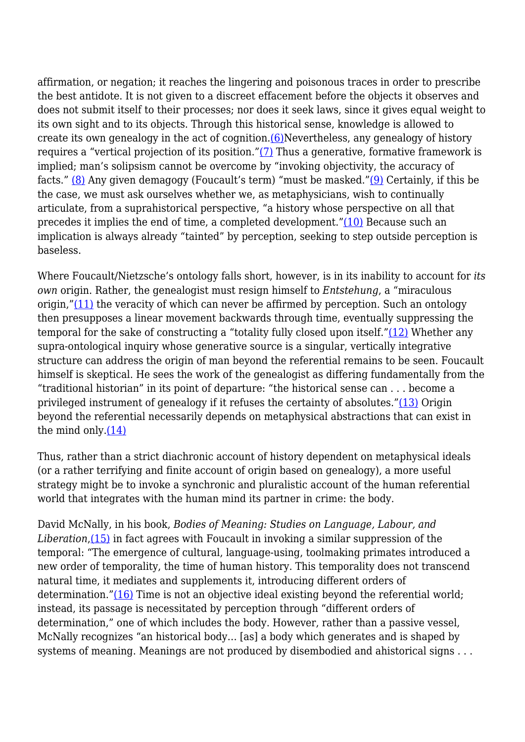affirmation, or negation; it reaches the lingering and poisonous traces in order to prescribe the best antidote. It is not given to a discreet effacement before the objects it observes and does not submit itself to their processes; nor does it seek laws, since it gives equal weight to its own sight and to its objects. Through this historical sense, knowledge is allowed to create its own genealogy in the act of cognition.[\(6\)](http://anthropoetics.ucla.edu/ap1201/khan#n6)Nevertheless, any genealogy of history requires a "vertical projection of its position.["\(7\)](http://anthropoetics.ucla.edu/ap1201/khan#n7) Thus a generative, formative framework is implied; man's solipsism cannot be overcome by "invoking objectivity, the accuracy of facts." [\(8\)](http://anthropoetics.ucla.edu/ap1201/khan#n8) Any given demagogy (Foucault's term) "must be masked."[\(9\)](http://anthropoetics.ucla.edu/ap1201/khan#n9) Certainly, if this be the case, we must ask ourselves whether we, as metaphysicians, wish to continually articulate, from a suprahistorical perspective, "a history whose perspective on all that precedes it implies the end of time, a completed development." $(10)$  Because such an implication is always already "tainted" by perception, seeking to step outside perception is baseless.

Where Foucault/Nietzsche's ontology falls short, however, is in its inability to account for *its own* origin. Rather, the genealogist must resign himself to *Entstehung*, a "miraculous origin," $(11)$  the veracity of which can never be affirmed by perception. Such an ontology then presupposes a linear movement backwards through time, eventually suppressing the temporal for the sake of constructing a "totality fully closed upon itself."[\(12\)](http://anthropoetics.ucla.edu/ap1201/khan#n12) Whether any supra-ontological inquiry whose generative source is a singular, vertically integrative structure can address the origin of man beyond the referential remains to be seen. Foucault himself is skeptical. He sees the work of the genealogist as differing fundamentally from the "traditional historian" in its point of departure: "the historical sense can . . . become a privileged instrument of genealogy if it refuses the certainty of absolutes.["\(13\)](http://anthropoetics.ucla.edu/ap1201/khan#n13) Origin beyond the referential necessarily depends on metaphysical abstractions that can exist in the mind only. $(14)$ 

Thus, rather than a strict diachronic account of history dependent on metaphysical ideals (or a rather terrifying and finite account of origin based on genealogy), a more useful strategy might be to invoke a synchronic and pluralistic account of the human referential world that integrates with the human mind its partner in crime: the body.

David McNally, in his book, *Bodies of Meaning: Studies on Language, Labour, and Liberation*, [\(15\)](http://anthropoetics.ucla.edu/ap1201/khan#n15) in fact agrees with Foucault in invoking a similar suppression of the temporal: "The emergence of cultural, language-using, toolmaking primates introduced a new order of temporality, the time of human history. This temporality does not transcend natural time, it mediates and supplements it, introducing different orders of determination."[\(16\)](http://anthropoetics.ucla.edu/ap1201/khan#n16) Time is not an objective ideal existing beyond the referential world; instead, its passage is necessitated by perception through "different orders of determination," one of which includes the body. However, rather than a passive vessel, McNally recognizes "an historical body... [as] a body which generates and is shaped by systems of meaning. Meanings are not produced by disembodied and ahistorical signs . . .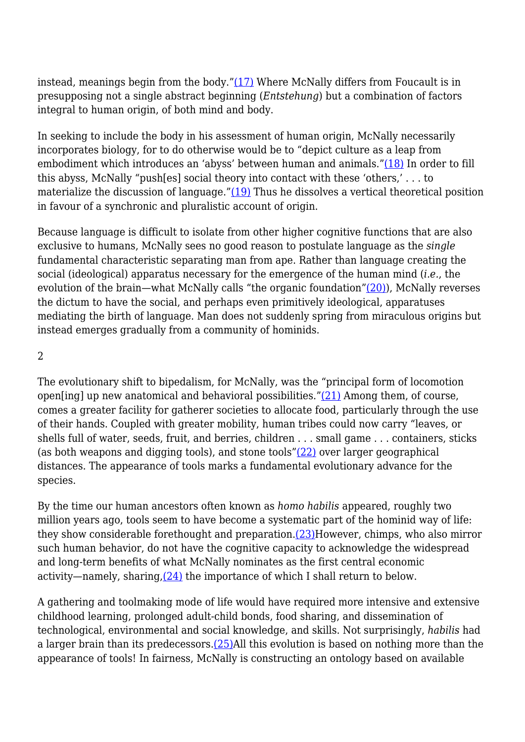instead, meanings begin from the body." $(17)$  Where McNally differs from Foucault is in presupposing not a single abstract beginning (*Entstehung*) but a combination of factors integral to human origin, of both mind and body.

In seeking to include the body in his assessment of human origin, McNally necessarily incorporates biology, for to do otherwise would be to "depict culture as a leap from embodiment which introduces an 'abyss' between human and animals."[\(18\)](http://anthropoetics.ucla.edu/ap1201/khan#n18) In order to fill this abyss, McNally "push[es] social theory into contact with these 'others,' . . . to materialize the discussion of language." $(19)$  Thus he dissolves a vertical theoretical position in favour of a synchronic and pluralistic account of origin.

Because language is difficult to isolate from other higher cognitive functions that are also exclusive to humans, McNally sees no good reason to postulate language as the *single* fundamental characteristic separating man from ape. Rather than language creating the social (ideological) apparatus necessary for the emergence of the human mind (*i.e.*, the evolution of the brain—what McNally calls "the organic foundation"[\(20\)\)](http://anthropoetics.ucla.edu/ap1201/khan#n20), McNally reverses the dictum to have the social, and perhaps even primitively ideological, apparatuses mediating the birth of language. Man does not suddenly spring from miraculous origins but instead emerges gradually from a community of hominids.

 $\overline{2}$ 

The evolutionary shift to bipedalism, for McNally, was the "principal form of locomotion open[ing] up new anatomical and behavioral possibilities." $(21)$  Among them, of course, comes a greater facility for gatherer societies to allocate food, particularly through the use of their hands. Coupled with greater mobility, human tribes could now carry "leaves, or shells full of water, seeds, fruit, and berries, children . . . small game . . . containers, sticks (as both weapons and digging tools), and stone tools["\(22\)](http://anthropoetics.ucla.edu/ap1201/khan#n22) over larger geographical distances. The appearance of tools marks a fundamental evolutionary advance for the species.

By the time our human ancestors often known as *homo habilis* appeared, roughly two million years ago, tools seem to have become a systematic part of the hominid way of life: they show considerable forethought and preparation. $(23)$ However, chimps, who also mirror such human behavior, do not have the cognitive capacity to acknowledge the widespread and long-term benefits of what McNally nominates as the first central economic activity—namely, sharing,[\(24\)](http://anthropoetics.ucla.edu/ap1201/khan#n24) the importance of which I shall return to below.

A gathering and toolmaking mode of life would have required more intensive and extensive childhood learning, prolonged adult-child bonds, food sharing, and dissemination of technological, environmental and social knowledge, and skills. Not surprisingly, *habilis* had a larger brain than its predecessors[.\(25\)A](http://anthropoetics.ucla.edu/ap1201/khan#n25)ll this evolution is based on nothing more than the appearance of tools! In fairness, McNally is constructing an ontology based on available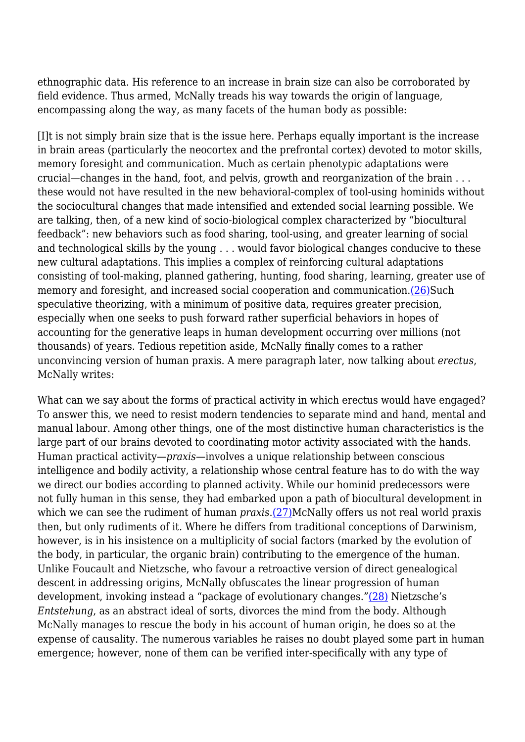ethnographic data. His reference to an increase in brain size can also be corroborated by field evidence. Thus armed, McNally treads his way towards the origin of language, encompassing along the way, as many facets of the human body as possible:

[I]t is not simply brain size that is the issue here. Perhaps equally important is the increase in brain areas (particularly the neocortex and the prefrontal cortex) devoted to motor skills, memory foresight and communication. Much as certain phenotypic adaptations were crucial—changes in the hand, foot, and pelvis, growth and reorganization of the brain . . . these would not have resulted in the new behavioral-complex of tool-using hominids without the sociocultural changes that made intensified and extended social learning possible. We are talking, then, of a new kind of socio-biological complex characterized by "biocultural feedback": new behaviors such as food sharing, tool-using, and greater learning of social and technological skills by the young . . . would favor biological changes conducive to these new cultural adaptations. This implies a complex of reinforcing cultural adaptations consisting of tool-making, planned gathering, hunting, food sharing, learning, greater use of memory and foresight, and increased social cooperation and communication.[\(26\)S](http://anthropoetics.ucla.edu/ap1201/khan#n26)uch speculative theorizing, with a minimum of positive data, requires greater precision, especially when one seeks to push forward rather superficial behaviors in hopes of accounting for the generative leaps in human development occurring over millions (not thousands) of years. Tedious repetition aside, McNally finally comes to a rather unconvincing version of human praxis. A mere paragraph later, now talking about *erectus*, McNally writes:

What can we say about the forms of practical activity in which erectus would have engaged? To answer this, we need to resist modern tendencies to separate mind and hand, mental and manual labour. Among other things, one of the most distinctive human characteristics is the large part of our brains devoted to coordinating motor activity associated with the hands. Human practical activity—*praxis*—involves a unique relationship between conscious intelligence and bodily activity, a relationship whose central feature has to do with the way we direct our bodies according to planned activity. While our hominid predecessors were not fully human in this sense, they had embarked upon a path of biocultural development in which we can see the rudiment of human *praxis*[.\(27\)](http://anthropoetics.ucla.edu/ap1201/khan#n27)McNally offers us not real world praxis then, but only rudiments of it. Where he differs from traditional conceptions of Darwinism, however, is in his insistence on a multiplicity of social factors (marked by the evolution of the body, in particular, the organic brain) contributing to the emergence of the human. Unlike Foucault and Nietzsche, who favour a retroactive version of direct genealogical descent in addressing origins, McNally obfuscates the linear progression of human development, invoking instead a "package of evolutionary changes.["\(28\)](http://anthropoetics.ucla.edu/ap1201/khan#n28) Nietzsche's *Entstehung*, as an abstract ideal of sorts, divorces the mind from the body. Although McNally manages to rescue the body in his account of human origin, he does so at the expense of causality. The numerous variables he raises no doubt played some part in human emergence; however, none of them can be verified inter-specifically with any type of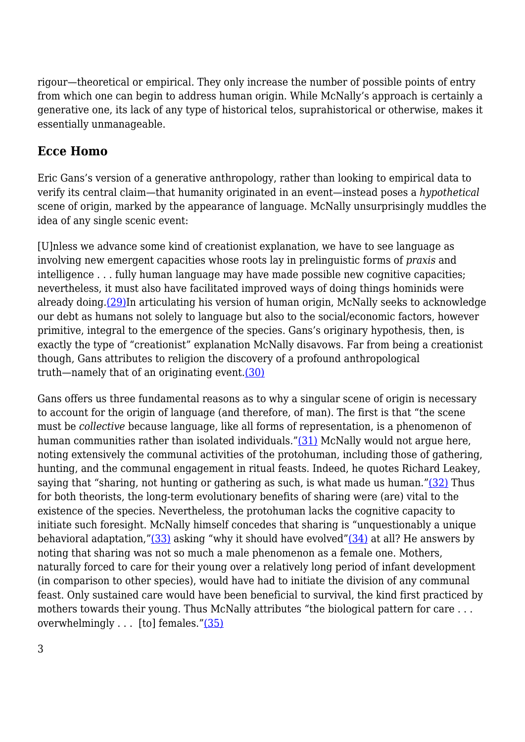rigour—theoretical or empirical. They only increase the number of possible points of entry from which one can begin to address human origin. While McNally's approach is certainly a generative one, its lack of any type of historical telos, suprahistorical or otherwise, makes it essentially unmanageable.

# **Ecce Homo**

Eric Gans's version of a generative anthropology, rather than looking to empirical data to verify its central claim—that humanity originated in an event—instead poses a *hypothetical* scene of origin, marked by the appearance of language. McNally unsurprisingly muddles the idea of any single scenic event:

[U]nless we advance some kind of creationist explanation, we have to see language as involving new emergent capacities whose roots lay in prelinguistic forms of *praxis* and intelligence . . . fully human language may have made possible new cognitive capacities; nevertheless, it must also have facilitated improved ways of doing things hominids were already doing[.\(29\)](http://anthropoetics.ucla.edu/ap1201/khan#n29)In articulating his version of human origin, McNally seeks to acknowledge our debt as humans not solely to language but also to the social/economic factors, however primitive, integral to the emergence of the species. Gans's originary hypothesis, then, is exactly the type of "creationist" explanation McNally disavows. Far from being a creationist though, Gans attributes to religion the discovery of a profound anthropological truth—namely that of an originating event.[\(30\)](http://anthropoetics.ucla.edu/ap1201/khan#n30)

Gans offers us three fundamental reasons as to why a singular scene of origin is necessary to account for the origin of language (and therefore, of man). The first is that "the scene must be *collective* because language, like all forms of representation, is a phenomenon of human communities rather than isolated individuals.["\(31\)](http://anthropoetics.ucla.edu/ap1201/khan#n31) McNally would not argue here, noting extensively the communal activities of the protohuman, including those of gathering, hunting, and the communal engagement in ritual feasts. Indeed, he quotes Richard Leakey, saying that "sharing, not hunting or gathering as such, is what made us human." $(32)$  Thus for both theorists, the long-term evolutionary benefits of sharing were (are) vital to the existence of the species. Nevertheless, the protohuman lacks the cognitive capacity to initiate such foresight. McNally himself concedes that sharing is "unquestionably a unique behavioral adaptation," $(33)$  asking "why it should have evolved" $(34)$  at all? He answers by noting that sharing was not so much a male phenomenon as a female one. Mothers, naturally forced to care for their young over a relatively long period of infant development (in comparison to other species), would have had to initiate the division of any communal feast. Only sustained care would have been beneficial to survival, the kind first practiced by mothers towards their young. Thus McNally attributes "the biological pattern for care . . . overwhelmingly . . . [to] females.["\(35\)](http://anthropoetics.ucla.edu/ap1201/khan#n35)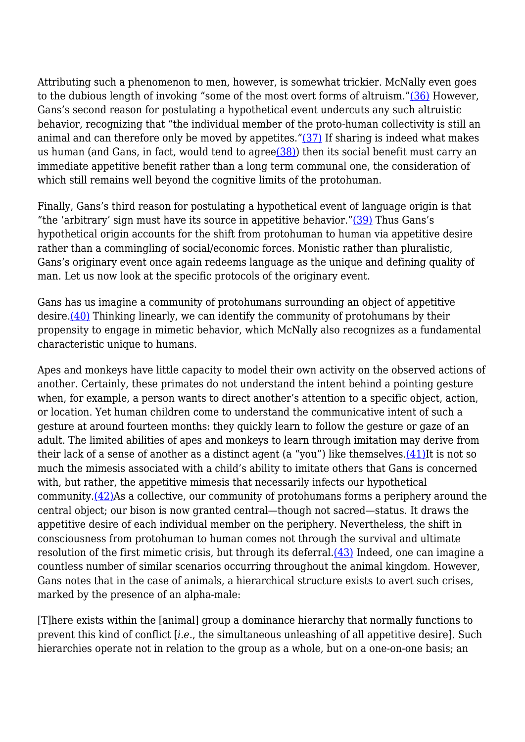Attributing such a phenomenon to men, however, is somewhat trickier. McNally even goes to the dubious length of invoking "some of the most overt forms of altruism.["\(36\)](http://anthropoetics.ucla.edu/ap1201/khan#n36) However, Gans's second reason for postulating a hypothetical event undercuts any such altruistic behavior, recognizing that "the individual member of the proto-human collectivity is still an animal and can therefore only be moved by appetites." $(37)$  If sharing is indeed what makes us human (and Gans, in fact, would tend to agre[e\(38\)\)](http://anthropoetics.ucla.edu/ap1201/khan#n38) then its social benefit must carry an immediate appetitive benefit rather than a long term communal one, the consideration of which still remains well beyond the cognitive limits of the protohuman.

Finally, Gans's third reason for postulating a hypothetical event of language origin is that "the 'arbitrary' sign must have its source in appetitive behavior." $(39)$  Thus Gans's hypothetical origin accounts for the shift from protohuman to human via appetitive desire rather than a commingling of social/economic forces. Monistic rather than pluralistic, Gans's originary event once again redeems language as the unique and defining quality of man. Let us now look at the specific protocols of the originary event.

Gans has us imagine a community of protohumans surrounding an object of appetitive desire.[\(40\)](http://anthropoetics.ucla.edu/ap1201/khan#n40) Thinking linearly, we can identify the community of protohumans by their propensity to engage in mimetic behavior, which McNally also recognizes as a fundamental characteristic unique to humans.

Apes and monkeys have little capacity to model their own activity on the observed actions of another. Certainly, these primates do not understand the intent behind a pointing gesture when, for example, a person wants to direct another's attention to a specific object, action, or location. Yet human children come to understand the communicative intent of such a gesture at around fourteen months: they quickly learn to follow the gesture or gaze of an adult. The limited abilities of apes and monkeys to learn through imitation may derive from their lack of a sense of another as a distinct agent (a "you") like themselves. $(41)$ It is not so much the mimesis associated with a child's ability to imitate others that Gans is concerned with, but rather, the appetitive mimesis that necessarily infects our hypothetical community.[\(42\)A](http://anthropoetics.ucla.edu/ap1201/khan#n42)s a collective, our community of protohumans forms a periphery around the central object; our bison is now granted central—though not sacred—status. It draws the appetitive desire of each individual member on the periphery. Nevertheless, the shift in consciousness from protohuman to human comes not through the survival and ultimate resolution of the first mimetic crisis, but through its deferral.[\(43\)](http://anthropoetics.ucla.edu/ap1201/khan#n43) Indeed, one can imagine a countless number of similar scenarios occurring throughout the animal kingdom. However, Gans notes that in the case of animals, a hierarchical structure exists to avert such crises, marked by the presence of an alpha-male:

[T]here exists within the [animal] group a dominance hierarchy that normally functions to prevent this kind of conflict [*i.e.*, the simultaneous unleashing of all appetitive desire]. Such hierarchies operate not in relation to the group as a whole, but on a one-on-one basis; an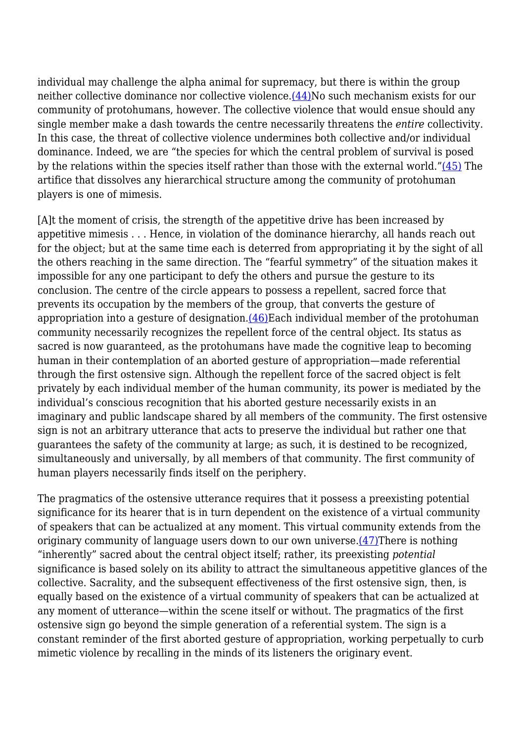individual may challenge the alpha animal for supremacy, but there is within the group neither collective dominance nor collective violence.[\(44\)](http://anthropoetics.ucla.edu/ap1201/khan#n44)No such mechanism exists for our community of protohumans, however. The collective violence that would ensue should any single member make a dash towards the centre necessarily threatens the *entire* collectivity. In this case, the threat of collective violence undermines both collective and/or individual dominance. Indeed, we are "the species for which the central problem of survival is posed by the relations within the species itself rather than those with the external world." $(45)$  The artifice that dissolves any hierarchical structure among the community of protohuman players is one of mimesis.

[A]t the moment of crisis, the strength of the appetitive drive has been increased by appetitive mimesis . . . Hence, in violation of the dominance hierarchy, all hands reach out for the object; but at the same time each is deterred from appropriating it by the sight of all the others reaching in the same direction. The "fearful symmetry" of the situation makes it impossible for any one participant to defy the others and pursue the gesture to its conclusion. The centre of the circle appears to possess a repellent, sacred force that prevents its occupation by the members of the group, that converts the gesture of appropriation into a gesture of designation. $(46)$ Each individual member of the protohuman community necessarily recognizes the repellent force of the central object. Its status as sacred is now guaranteed, as the protohumans have made the cognitive leap to becoming human in their contemplation of an aborted gesture of appropriation—made referential through the first ostensive sign. Although the repellent force of the sacred object is felt privately by each individual member of the human community, its power is mediated by the individual's conscious recognition that his aborted gesture necessarily exists in an imaginary and public landscape shared by all members of the community. The first ostensive sign is not an arbitrary utterance that acts to preserve the individual but rather one that guarantees the safety of the community at large; as such, it is destined to be recognized, simultaneously and universally, by all members of that community. The first community of human players necessarily finds itself on the periphery.

The pragmatics of the ostensive utterance requires that it possess a preexisting potential significance for its hearer that is in turn dependent on the existence of a virtual community of speakers that can be actualized at any moment. This virtual community extends from the originary community of language users down to our own universe[.\(47\)](http://anthropoetics.ucla.edu/ap1201/khan#n47)There is nothing "inherently" sacred about the central object itself; rather, its preexisting *potential* significance is based solely on its ability to attract the simultaneous appetitive glances of the collective. Sacrality, and the subsequent effectiveness of the first ostensive sign, then, is equally based on the existence of a virtual community of speakers that can be actualized at any moment of utterance—within the scene itself or without. The pragmatics of the first ostensive sign go beyond the simple generation of a referential system. The sign is a constant reminder of the first aborted gesture of appropriation, working perpetually to curb mimetic violence by recalling in the minds of its listeners the originary event.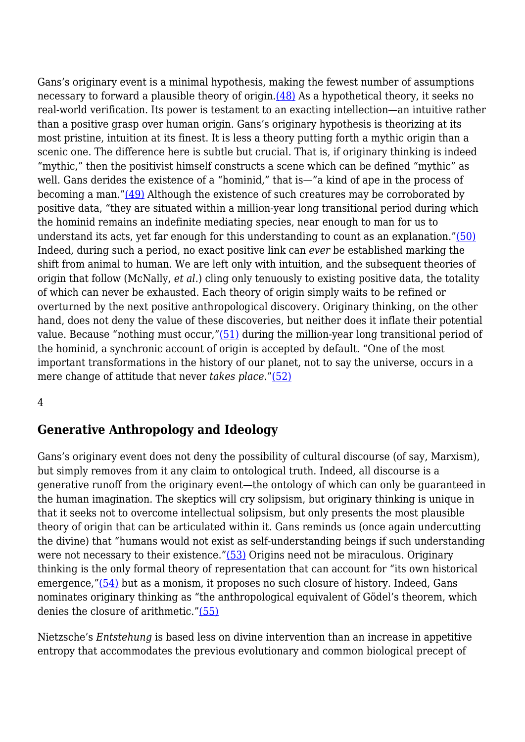Gans's originary event is a minimal hypothesis, making the fewest number of assumptions necessary to forward a plausible theory of origin[.\(48\)](http://anthropoetics.ucla.edu/ap1201/khan#n48) As a hypothetical theory, it seeks no real-world verification. Its power is testament to an exacting intellection—an intuitive rather than a positive grasp over human origin. Gans's originary hypothesis is theorizing at its most pristine, intuition at its finest. It is less a theory putting forth a mythic origin than a scenic one. The difference here is subtle but crucial. That is, if originary thinking is indeed "mythic," then the positivist himself constructs a scene which can be defined "mythic" as well. Gans derides the existence of a "hominid," that is—"a kind of ape in the process of becoming a man."[\(49\)](http://anthropoetics.ucla.edu/ap1201/khan#n49) Although the existence of such creatures may be corroborated by positive data, "they are situated within a million-year long transitional period during which the hominid remains an indefinite mediating species, near enough to man for us to understand its acts, yet far enough for this understanding to count as an explanation."[\(50\)](http://anthropoetics.ucla.edu/ap1201/khan#n50) Indeed, during such a period, no exact positive link can *ever* be established marking the shift from animal to human. We are left only with intuition, and the subsequent theories of origin that follow (McNally, *et al.*) cling only tenuously to existing positive data, the totality of which can never be exhausted. Each theory of origin simply waits to be refined or overturned by the next positive anthropological discovery. Originary thinking, on the other hand, does not deny the value of these discoveries, but neither does it inflate their potential value. Because "nothing must occur,["\(51\)](http://anthropoetics.ucla.edu/ap1201/khan#n51) during the million-year long transitional period of the hominid, a synchronic account of origin is accepted by default. "One of the most important transformations in the history of our planet, not to say the universe, occurs in a mere change of attitude that never *takes place*.["\(52\)](http://anthropoetics.ucla.edu/ap1201/khan#n52)

#### 4

### **Generative Anthropology and Ideology**

Gans's originary event does not deny the possibility of cultural discourse (of say, Marxism), but simply removes from it any claim to ontological truth. Indeed, all discourse is a generative runoff from the originary event—the ontology of which can only be guaranteed in the human imagination. The skeptics will cry solipsism, but originary thinking is unique in that it seeks not to overcome intellectual solipsism, but only presents the most plausible theory of origin that can be articulated within it. Gans reminds us (once again undercutting the divine) that "humans would not exist as self-understanding beings if such understanding were not necessary to their existence."[\(53\)](http://anthropoetics.ucla.edu/ap1201/khan#n53) Origins need not be miraculous. Originary thinking is the only formal theory of representation that can account for "its own historical emergence,["\(54\)](http://anthropoetics.ucla.edu/ap1201/khan#n54) but as a monism, it proposes no such closure of history. Indeed, Gans nominates originary thinking as "the anthropological equivalent of Gödel's theorem, which denies the closure of arithmetic."[\(55\)](http://anthropoetics.ucla.edu/ap1201/khan#n55)

Nietzsche's *Entstehung* is based less on divine intervention than an increase in appetitive entropy that accommodates the previous evolutionary and common biological precept of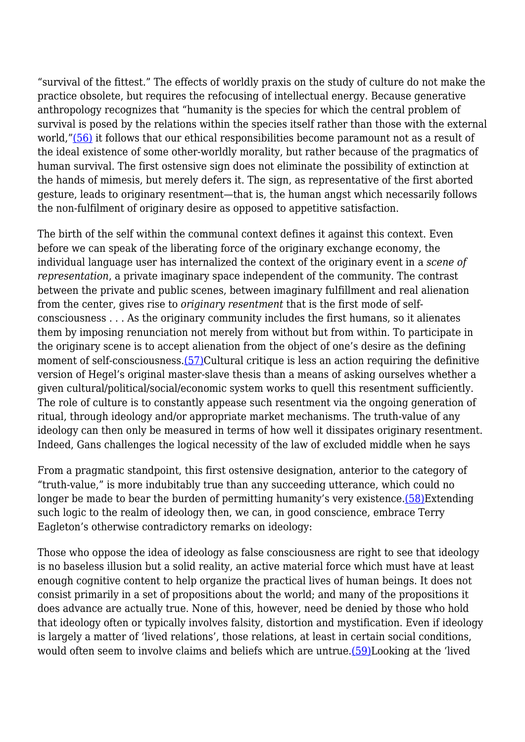"survival of the fittest." The effects of worldly praxis on the study of culture do not make the practice obsolete, but requires the refocusing of intellectual energy. Because generative anthropology recognizes that "humanity is the species for which the central problem of survival is posed by the relations within the species itself rather than those with the external world,"[\(56\)](http://anthropoetics.ucla.edu/ap1201/khan#n56) it follows that our ethical responsibilities become paramount not as a result of the ideal existence of some other-worldly morality, but rather because of the pragmatics of human survival. The first ostensive sign does not eliminate the possibility of extinction at the hands of mimesis, but merely defers it. The sign, as representative of the first aborted gesture, leads to originary resentment—that is, the human angst which necessarily follows the non-fulfilment of originary desire as opposed to appetitive satisfaction.

The birth of the self within the communal context defines it against this context. Even before we can speak of the liberating force of the originary exchange economy, the individual language user has internalized the context of the originary event in a *scene of representation*, a private imaginary space independent of the community. The contrast between the private and public scenes, between imaginary fulfillment and real alienation from the center, gives rise to *originary resentment* that is the first mode of selfconsciousness . . . As the originary community includes the first humans, so it alienates them by imposing renunciation not merely from without but from within. To participate in the originary scene is to accept alienation from the object of one's desire as the defining moment of self-consciousness.[\(57\)](http://anthropoetics.ucla.edu/ap1201/khan#n57)Cultural critique is less an action requiring the definitive version of Hegel's original master-slave thesis than a means of asking ourselves whether a given cultural/political/social/economic system works to quell this resentment sufficiently. The role of culture is to constantly appease such resentment via the ongoing generation of ritual, through ideology and/or appropriate market mechanisms. The truth-value of any ideology can then only be measured in terms of how well it dissipates originary resentment. Indeed, Gans challenges the logical necessity of the law of excluded middle when he says

From a pragmatic standpoint, this first ostensive designation, anterior to the category of "truth-value," is more indubitably true than any succeeding utterance, which could no longer be made to bear the burden of permitting humanity's very existence[.\(58\)E](http://anthropoetics.ucla.edu/ap1201/khan#n58)xtending such logic to the realm of ideology then, we can, in good conscience, embrace Terry Eagleton's otherwise contradictory remarks on ideology:

Those who oppose the idea of ideology as false consciousness are right to see that ideology is no baseless illusion but a solid reality, an active material force which must have at least enough cognitive content to help organize the practical lives of human beings. It does not consist primarily in a set of propositions about the world; and many of the propositions it does advance are actually true. None of this, however, need be denied by those who hold that ideology often or typically involves falsity, distortion and mystification. Even if ideology is largely a matter of 'lived relations', those relations, at least in certain social conditions, would often seem to involve claims and beliefs which are untrue.[\(59\)L](http://anthropoetics.ucla.edu/ap1201/khan#n59)ooking at the 'lived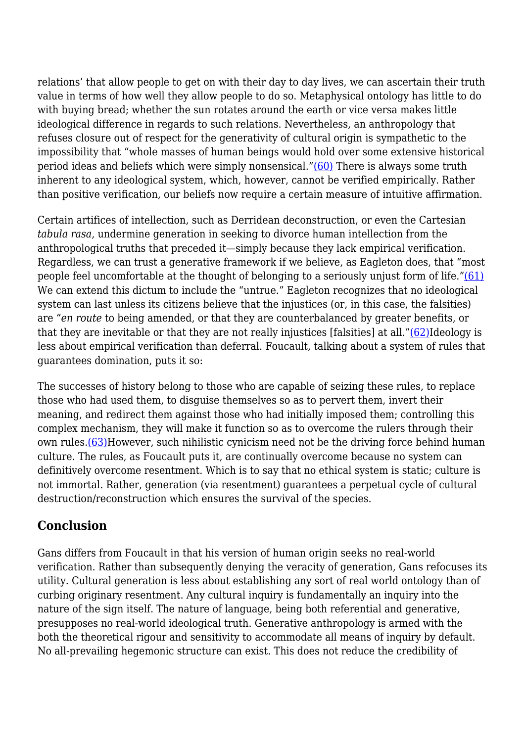relations' that allow people to get on with their day to day lives, we can ascertain their truth value in terms of how well they allow people to do so. Metaphysical ontology has little to do with buying bread; whether the sun rotates around the earth or vice versa makes little ideological difference in regards to such relations. Nevertheless, an anthropology that refuses closure out of respect for the generativity of cultural origin is sympathetic to the impossibility that "whole masses of human beings would hold over some extensive historical period ideas and beliefs which were simply nonsensical."[\(60\)](http://anthropoetics.ucla.edu/ap1201/khan#n60) There is always some truth inherent to any ideological system, which, however, cannot be verified empirically. Rather than positive verification, our beliefs now require a certain measure of intuitive affirmation.

Certain artifices of intellection, such as Derridean deconstruction, or even the Cartesian *tabula rasa*, undermine generation in seeking to divorce human intellection from the anthropological truths that preceded it—simply because they lack empirical verification. Regardless, we can trust a generative framework if we believe, as Eagleton does, that "most people feel uncomfortable at the thought of belonging to a seriously unjust form of life."[\(61\)](http://anthropoetics.ucla.edu/ap1201/khan#n61) We can extend this dictum to include the "untrue." Eagleton recognizes that no ideological system can last unless its citizens believe that the injustices (or, in this case, the falsities) are "*en route* to being amended, or that they are counterbalanced by greater benefits, or that they are inevitable or that they are not really injustices [falsities] at all.["\(62\)](http://anthropoetics.ucla.edu/ap1201/khan#n62)Ideology is less about empirical verification than deferral. Foucault, talking about a system of rules that guarantees domination, puts it so:

The successes of history belong to those who are capable of seizing these rules, to replace those who had used them, to disguise themselves so as to pervert them, invert their meaning, and redirect them against those who had initially imposed them; controlling this complex mechanism, they will make it function so as to overcome the rulers through their own rules.[\(63\)H](http://anthropoetics.ucla.edu/ap1201/khan#n63)owever, such nihilistic cynicism need not be the driving force behind human culture. The rules, as Foucault puts it, are continually overcome because no system can definitively overcome resentment. Which is to say that no ethical system is static; culture is not immortal. Rather, generation (via resentment) guarantees a perpetual cycle of cultural destruction/reconstruction which ensures the survival of the species.

## **Conclusion**

Gans differs from Foucault in that his version of human origin seeks no real-world verification. Rather than subsequently denying the veracity of generation, Gans refocuses its utility. Cultural generation is less about establishing any sort of real world ontology than of curbing originary resentment. Any cultural inquiry is fundamentally an inquiry into the nature of the sign itself. The nature of language, being both referential and generative, presupposes no real-world ideological truth. Generative anthropology is armed with the both the theoretical rigour and sensitivity to accommodate all means of inquiry by default. No all-prevailing hegemonic structure can exist. This does not reduce the credibility of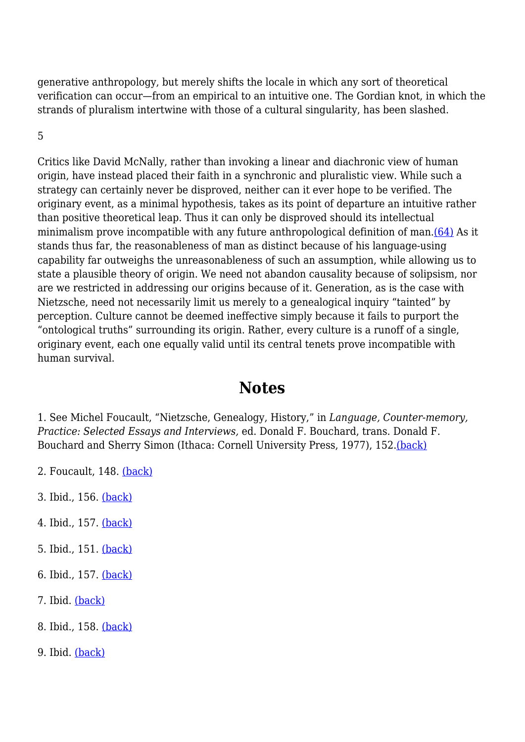generative anthropology, but merely shifts the locale in which any sort of theoretical verification can occur—from an empirical to an intuitive one. The Gordian knot, in which the strands of pluralism intertwine with those of a cultural singularity, has been slashed.

5

Critics like David McNally, rather than invoking a linear and diachronic view of human origin, have instead placed their faith in a synchronic and pluralistic view. While such a strategy can certainly never be disproved, neither can it ever hope to be verified. The originary event, as a minimal hypothesis, takes as its point of departure an intuitive rather than positive theoretical leap. Thus it can only be disproved should its intellectual minimalism prove incompatible with any future anthropological definition of man[.\(64\)](http://anthropoetics.ucla.edu/ap1201/khan#n64) As it stands thus far, the reasonableness of man as distinct because of his language-using capability far outweighs the unreasonableness of such an assumption, while allowing us to state a plausible theory of origin. We need not abandon causality because of solipsism, nor are we restricted in addressing our origins because of it. Generation, as is the case with Nietzsche, need not necessarily limit us merely to a genealogical inquiry "tainted" by perception. Culture cannot be deemed ineffective simply because it fails to purport the "ontological truths" surrounding its origin. Rather, every culture is a runoff of a single, originary event, each one equally valid until its central tenets prove incompatible with human survival.

# **Notes**

1. See Michel Foucault, "Nietzsche, Genealogy, History," in *Language, Counter-memory, Practice: Selected Essays and Interviews,* ed. Donald F. Bouchard, trans. Donald F. Bouchard and Sherry Simon (Ithaca: Cornell University Press, 1977), 152.[\(back\)](http://anthropoetics.ucla.edu/ap1201/khan#b1)

- 2. Foucault, 148. [\(back\)](http://anthropoetics.ucla.edu/ap1201/khan#b2)
- 3. Ibid., 156. [\(back\)](http://anthropoetics.ucla.edu/ap1201/khan#b3)
- 4. Ibid., 157. [\(back\)](http://anthropoetics.ucla.edu/ap1201/khan#b4)
- 5. Ibid., 151. [\(back\)](http://anthropoetics.ucla.edu/ap1201/khan#b5)
- 6. Ibid., 157. [\(back\)](http://anthropoetics.ucla.edu/ap1201/khan#b6)
- 7. Ibid. [\(back\)](http://anthropoetics.ucla.edu/ap1201/khan#b7)
- 8. Ibid., 158. [\(back\)](http://anthropoetics.ucla.edu/ap1201/khan#b8)
- 9. Ibid. [\(back\)](http://anthropoetics.ucla.edu/ap1201/khan#b9)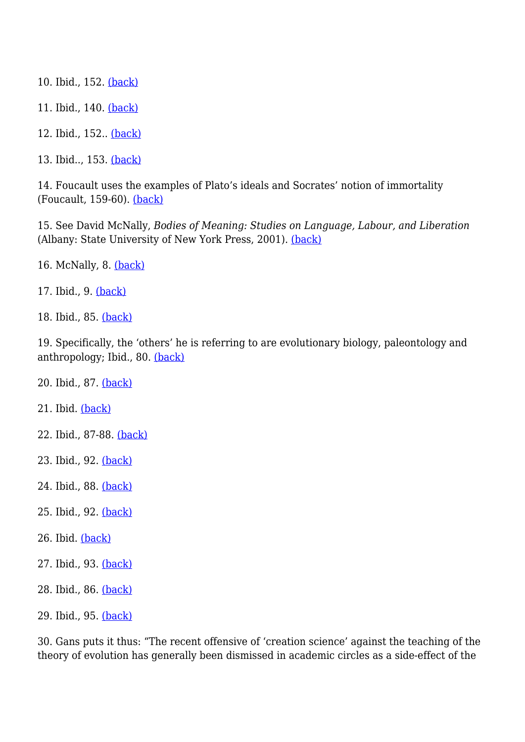- 10. Ibid., 152. [\(back\)](http://anthropoetics.ucla.edu/ap1201/khan#b10)
- 11. Ibid., 140. [\(back\)](http://anthropoetics.ucla.edu/ap1201/khan#b11)
- 12. Ibid., 152.. [\(back\)](http://anthropoetics.ucla.edu/ap1201/khan#b12)
- 13. Ibid.., 153. [\(back\)](http://anthropoetics.ucla.edu/ap1201/khan#b13)

14. Foucault uses the examples of Plato's ideals and Socrates' notion of immortality (Foucault, 159-60). [\(back\)](http://anthropoetics.ucla.edu/ap1201/khan#b14)

15. See David McNally, *Bodies of Meaning: Studies on Language, Labour, and Liberation* (Albany: State University of New York Press, 2001). [\(back\)](http://anthropoetics.ucla.edu/ap1201/khan#b15)

- 16. McNally, 8. [\(back\)](http://anthropoetics.ucla.edu/ap1201/khan#b16)
- 17. Ibid., 9. [\(back\)](http://anthropoetics.ucla.edu/ap1201/khan#b17)
- 18. Ibid., 85. [\(back\)](http://anthropoetics.ucla.edu/ap1201/khan#b18)

19. Specifically, the 'others' he is referring to are evolutionary biology, paleontology and anthropology; Ibid., 80. [\(back\)](http://anthropoetics.ucla.edu/ap1201/khan#b19)

- 20. Ibid., 87. [\(back\)](http://anthropoetics.ucla.edu/ap1201/khan#b20)
- 21. Ibid. [\(back\)](http://anthropoetics.ucla.edu/ap1201/khan#b21)
- 22. Ibid., 87-88. [\(back\)](http://anthropoetics.ucla.edu/ap1201/khan#b22)
- 23. Ibid., 92. [\(back\)](http://anthropoetics.ucla.edu/ap1201/khan#b23)
- 24. Ibid., 88. [\(back\)](http://anthropoetics.ucla.edu/ap1201/khan#b24)
- 25. Ibid., 92. [\(back\)](http://anthropoetics.ucla.edu/ap1201/khan#b25)
- 26. Ibid. [\(back\)](http://anthropoetics.ucla.edu/ap1201/khan#b26)
- 27. Ibid., 93. [\(back\)](http://anthropoetics.ucla.edu/ap1201/khan#b27)
- 28. Ibid., 86. [\(back\)](http://anthropoetics.ucla.edu/ap1201/khan#b28)
- 29. Ibid., 95. [\(back\)](http://anthropoetics.ucla.edu/ap1201/khan#b29)

30. Gans puts it thus: "The recent offensive of 'creation science' against the teaching of the theory of evolution has generally been dismissed in academic circles as a side-effect of the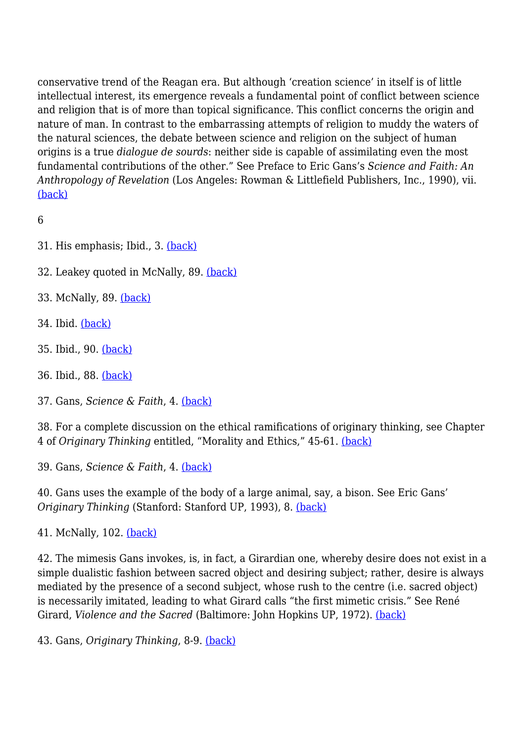conservative trend of the Reagan era. But although 'creation science' in itself is of little intellectual interest, its emergence reveals a fundamental point of conflict between science and religion that is of more than topical significance. This conflict concerns the origin and nature of man. In contrast to the embarrassing attempts of religion to muddy the waters of the natural sciences, the debate between science and religion on the subject of human origins is a true *dialogue de sourds*: neither side is capable of assimilating even the most fundamental contributions of the other." See Preface to Eric Gans's *Science and Faith: An Anthropology of Revelation* (Los Angeles: Rowman & Littlefield Publishers, Inc., 1990), vii. [\(back\)](http://anthropoetics.ucla.edu/ap1201/khan#b30)

6

- 31. His emphasis; Ibid., 3. [\(back\)](http://anthropoetics.ucla.edu/ap1201/khan#b31)
- 32. Leakey quoted in McNally, 89. [\(back\)](http://anthropoetics.ucla.edu/ap1201/khan#b32)
- 33. McNally, 89. [\(back\)](http://anthropoetics.ucla.edu/ap1201/khan#b33)
- 34. Ibid. [\(back\)](http://anthropoetics.ucla.edu/ap1201/khan#b34)
- 35. Ibid., 90. [\(back\)](http://anthropoetics.ucla.edu/ap1201/khan#b35)
- 36. Ibid., 88. [\(back\)](http://anthropoetics.ucla.edu/ap1201/khan#b36)
- 37. Gans, *Science & Faith*, 4. [\(back\)](http://anthropoetics.ucla.edu/ap1201/khan#b37)

38. For a complete discussion on the ethical ramifications of originary thinking, see Chapter 4 of *Originary Thinking* entitled, "Morality and Ethics," 45-61. [\(back\)](http://anthropoetics.ucla.edu/ap1201/khan#b38)

39. Gans, *Science & Faith*, 4. [\(back\)](http://anthropoetics.ucla.edu/ap1201/khan#b39)

40. Gans uses the example of the body of a large animal, say, a bison. See Eric Gans' *Originary Thinking* (Stanford: Stanford UP, 1993), 8. [\(back\)](http://anthropoetics.ucla.edu/ap1201/khan#b40)

41. McNally, 102. [\(back\)](http://anthropoetics.ucla.edu/ap1201/khan#b41)

42. The mimesis Gans invokes, is, in fact, a Girardian one, whereby desire does not exist in a simple dualistic fashion between sacred object and desiring subject; rather, desire is always mediated by the presence of a second subject, whose rush to the centre (i.e. sacred object) is necessarily imitated, leading to what Girard calls "the first mimetic crisis." See René Girard, *Violence and the Sacred* (Baltimore: John Hopkins UP, 1972). [\(back\)](http://anthropoetics.ucla.edu/ap1201/khan#b42)

43. Gans, *Originary Thinking*, 8-9. [\(back\)](http://anthropoetics.ucla.edu/ap1201/khan#b43)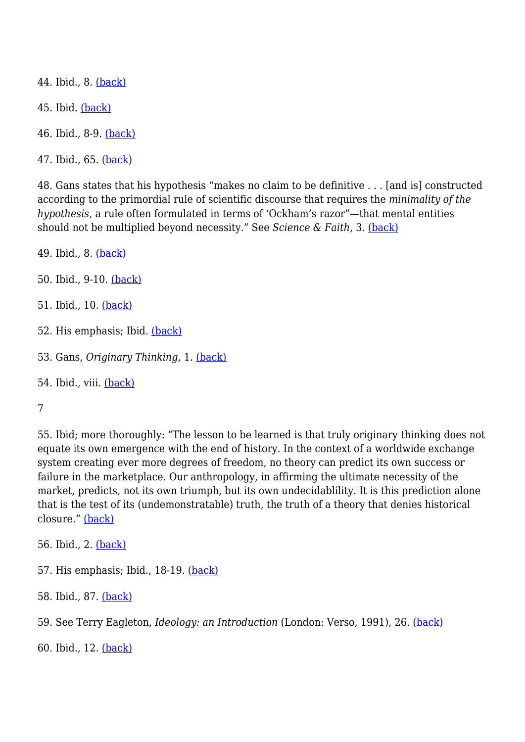44. Ibid., 8. [\(back\)](http://anthropoetics.ucla.edu/ap1201/khan#b44)

45. Ibid. [\(back\)](http://anthropoetics.ucla.edu/ap1201/khan#b45)

46. Ibid., 8-9. [\(back\)](http://anthropoetics.ucla.edu/ap1201/khan#b46)

47. Ibid., 65. [\(back\)](http://anthropoetics.ucla.edu/ap1201/khan#b47)

48. Gans states that his hypothesis "makes no claim to be definitive . . . [and is] constructed according to the primordial rule of scientific discourse that requires the *minimality of the hypothesis*, a rule often formulated in terms of 'Ockham's razor"—that mental entities should not be multiplied beyond necessity." See *Science & Faith*, 3. [\(back\)](http://anthropoetics.ucla.edu/ap1201/khan#b48)

49. Ibid., 8. [\(back\)](http://anthropoetics.ucla.edu/ap1201/khan#b49)

50. Ibid., 9-10. [\(back\)](http://anthropoetics.ucla.edu/ap1201/khan#b50)

- 51. Ibid., 10. [\(back\)](http://anthropoetics.ucla.edu/ap1201/khan#b51)
- 52. His emphasis; Ibid. [\(back\)](http://anthropoetics.ucla.edu/ap1201/khan#b52)
- 53. Gans, *Originary Thinking*, 1. [\(back\)](http://anthropoetics.ucla.edu/ap1201/khan#b53)
- 54. Ibid., viii. [\(back\)](http://anthropoetics.ucla.edu/ap1201/khan#b54)

7

55. Ibid; more thoroughly: "The lesson to be learned is that truly originary thinking does not equate its own emergence with the end of history. In the context of a worldwide exchange system creating ever more degrees of freedom, no theory can predict its own success or failure in the marketplace. Our anthropology, in affirming the ultimate necessity of the market, predicts, not its own triumph, but its own undecidablility. It is this prediction alone that is the test of its (undemonstratable) truth, the truth of a theory that denies historical closure." [\(back\)](http://anthropoetics.ucla.edu/ap1201/khan#b55)

56. Ibid., 2. [\(back\)](http://anthropoetics.ucla.edu/ap1201/khan#b56)

57. His emphasis; Ibid., 18-19. [\(back\)](http://anthropoetics.ucla.edu/ap1201/khan#b57)

58. Ibid., 87. [\(back\)](http://anthropoetics.ucla.edu/ap1201/khan#b58)

59. See Terry Eagleton, *Ideology: an Introduction* (London: Verso, 1991), 26. [\(back\)](http://anthropoetics.ucla.edu/ap1201/khan#b59)

60. Ibid., 12. [\(back\)](http://anthropoetics.ucla.edu/ap1201/khan#b60)